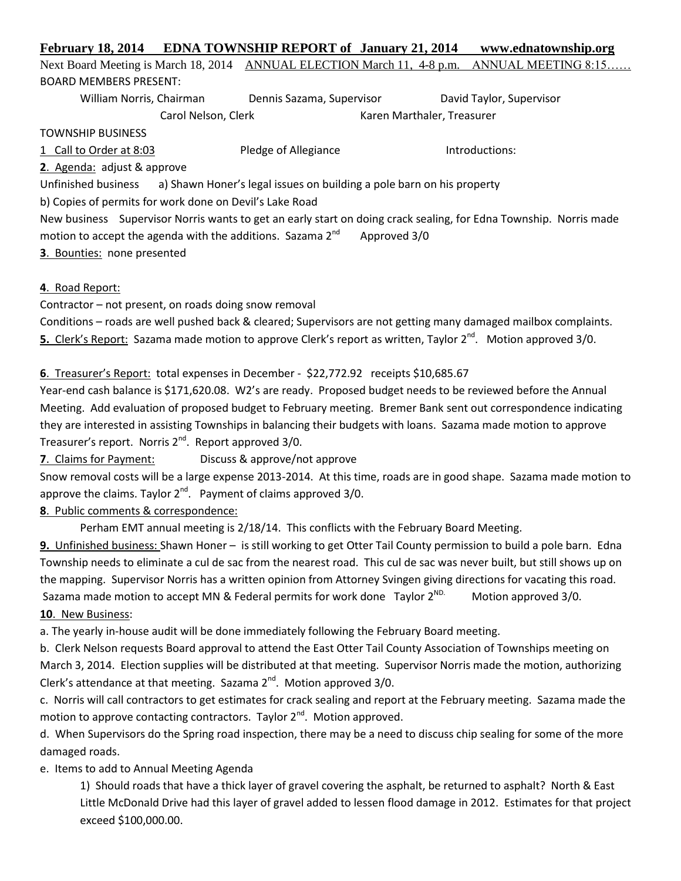# **February 18, 2014 EDNA TOWNSHIP REPORT of January 21, 2014 www.ednatownship.org** Next Board Meeting is March 18, 2014 ANNUAL ELECTION March 11, 4-8 p.m. ANNUAL MEETING 8:15.

BOARD MEMBERS PRESENT:

William Norris, Chairman Dennis Sazama, Supervisor David Taylor, Supervisor

Carol Nelson, Clerk Karen Marthaler, Treasurer

TOWNSHIP BUSINESS

1 Call to Order at 8:03 Pledge of Allegiance Introductions:

**2**. Agenda: adjust & approve

Unfinished business a) Shawn Honer's legal issues on building a pole barn on his property

b) Copies of permits for work done on Devil's Lake Road

New business Supervisor Norris wants to get an early start on doing crack sealing, for Edna Township. Norris made motion to accept the agenda with the additions. Sazama  $2^{nd}$  Approved 3/0

**3**. Bounties: none presented

**4**. Road Report:

Contractor – not present, on roads doing snow removal

Conditions – roads are well pushed back & cleared; Supervisors are not getting many damaged mailbox complaints. 5. Clerk's Report: Sazama made motion to approve Clerk's report as written, Taylor 2<sup>nd</sup>. Motion approved 3/0.

### **6**. Treasurer's Report: total expenses in December - \$22,772.92 receipts \$10,685.67

Year-end cash balance is \$171,620.08. W2's are ready. Proposed budget needs to be reviewed before the Annual Meeting. Add evaluation of proposed budget to February meeting. Bremer Bank sent out correspondence indicating they are interested in assisting Townships in balancing their budgets with loans. Sazama made motion to approve Treasurer's report. Norris 2<sup>nd</sup>. Report approved 3/0.

**7**. Claims for Payment: Discuss & approve/not approve

Snow removal costs will be a large expense 2013-2014. At this time, roads are in good shape. Sazama made motion to approve the claims. Taylor  $2^{nd}$ . Payment of claims approved 3/0.

## **8**. Public comments & correspondence:

Perham EMT annual meeting is 2/18/14. This conflicts with the February Board Meeting.

**9.** Unfinished business: Shawn Honer – is still working to get Otter Tail County permission to build a pole barn. Edna Township needs to eliminate a cul de sac from the nearest road. This cul de sac was never built, but still shows up on the mapping. Supervisor Norris has a written opinion from Attorney Svingen giving directions for vacating this road. Sazama made motion to accept MN & Federal permits for work done Taylor  $2^{ND}$ . Motion approved 3/0. **10**. New Business:

a. The yearly in-house audit will be done immediately following the February Board meeting.

b. Clerk Nelson requests Board approval to attend the East Otter Tail County Association of Townships meeting on March 3, 2014. Election supplies will be distributed at that meeting. Supervisor Norris made the motion, authorizing Clerk's attendance at that meeting. Sazama  $2^{nd}$ . Motion approved  $3/0$ .

c. Norris will call contractors to get estimates for crack sealing and report at the February meeting. Sazama made the motion to approve contacting contractors. Taylor  $2^{nd}$ . Motion approved.

d. When Supervisors do the Spring road inspection, there may be a need to discuss chip sealing for some of the more damaged roads.

### e. Items to add to Annual Meeting Agenda

1) Should roads that have a thick layer of gravel covering the asphalt, be returned to asphalt? North & East Little McDonald Drive had this layer of gravel added to lessen flood damage in 2012. Estimates for that project exceed \$100,000.00.